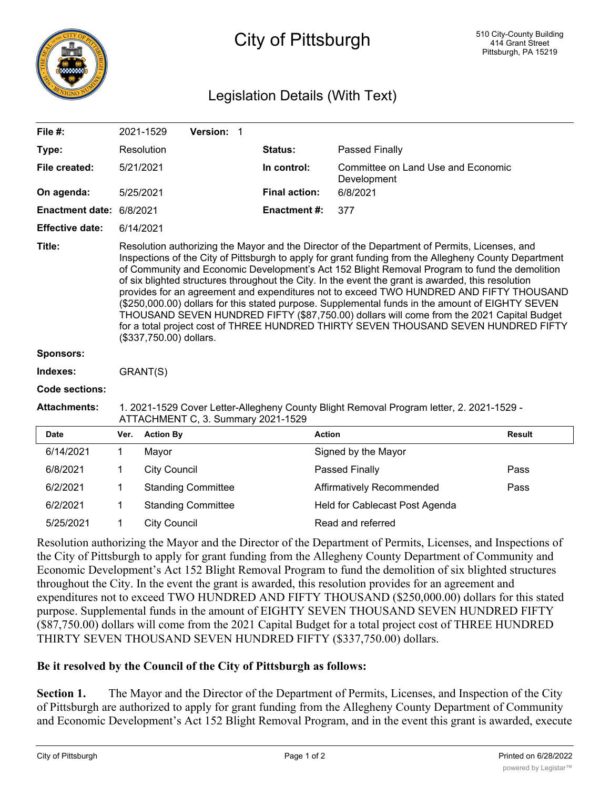

## City of Pittsburgh

## Legislation Details (With Text)

| File #:                  |                                                                                                                                                                                                                                                                                                                                                                                                                                                                                                                                                                                                                                                                                                                                                                                                                             | 2021-1529              | Version: 1                |  |                      |                                                   |               |
|--------------------------|-----------------------------------------------------------------------------------------------------------------------------------------------------------------------------------------------------------------------------------------------------------------------------------------------------------------------------------------------------------------------------------------------------------------------------------------------------------------------------------------------------------------------------------------------------------------------------------------------------------------------------------------------------------------------------------------------------------------------------------------------------------------------------------------------------------------------------|------------------------|---------------------------|--|----------------------|---------------------------------------------------|---------------|
| Type:                    |                                                                                                                                                                                                                                                                                                                                                                                                                                                                                                                                                                                                                                                                                                                                                                                                                             | Resolution             |                           |  | Status:              | Passed Finally                                    |               |
| File created:            |                                                                                                                                                                                                                                                                                                                                                                                                                                                                                                                                                                                                                                                                                                                                                                                                                             | 5/21/2021<br>5/25/2021 |                           |  | In control:          | Committee on Land Use and Economic<br>Development |               |
| On agenda:               |                                                                                                                                                                                                                                                                                                                                                                                                                                                                                                                                                                                                                                                                                                                                                                                                                             |                        |                           |  | <b>Final action:</b> | 6/8/2021                                          |               |
| Enactment date: 6/8/2021 |                                                                                                                                                                                                                                                                                                                                                                                                                                                                                                                                                                                                                                                                                                                                                                                                                             |                        |                           |  | <b>Enactment#:</b>   | 377                                               |               |
| <b>Effective date:</b>   |                                                                                                                                                                                                                                                                                                                                                                                                                                                                                                                                                                                                                                                                                                                                                                                                                             | 6/14/2021              |                           |  |                      |                                                   |               |
| Title:                   | Resolution authorizing the Mayor and the Director of the Department of Permits, Licenses, and<br>Inspections of the City of Pittsburgh to apply for grant funding from the Allegheny County Department<br>of Community and Economic Development's Act 152 Blight Removal Program to fund the demolition<br>of six blighted structures throughout the City. In the event the grant is awarded, this resolution<br>provides for an agreement and expenditures not to exceed TWO HUNDRED AND FIFTY THOUSAND<br>(\$250,000.00) dollars for this stated purpose. Supplemental funds in the amount of EIGHTY SEVEN<br>THOUSAND SEVEN HUNDRED FIFTY (\$87,750.00) dollars will come from the 2021 Capital Budget<br>for a total project cost of THREE HUNDRED THIRTY SEVEN THOUSAND SEVEN HUNDRED FIFTY<br>(\$337,750.00) dollars. |                        |                           |  |                      |                                                   |               |
| <b>Sponsors:</b>         |                                                                                                                                                                                                                                                                                                                                                                                                                                                                                                                                                                                                                                                                                                                                                                                                                             |                        |                           |  |                      |                                                   |               |
| Indexes:                 | GRANT(S)                                                                                                                                                                                                                                                                                                                                                                                                                                                                                                                                                                                                                                                                                                                                                                                                                    |                        |                           |  |                      |                                                   |               |
| <b>Code sections:</b>    |                                                                                                                                                                                                                                                                                                                                                                                                                                                                                                                                                                                                                                                                                                                                                                                                                             |                        |                           |  |                      |                                                   |               |
| <b>Attachments:</b>      | 1. 2021-1529 Cover Letter-Allegheny County Blight Removal Program letter, 2. 2021-1529 -<br>ATTACHMENT C, 3. Summary 2021-1529                                                                                                                                                                                                                                                                                                                                                                                                                                                                                                                                                                                                                                                                                              |                        |                           |  |                      |                                                   |               |
| <b>Date</b>              | Ver.                                                                                                                                                                                                                                                                                                                                                                                                                                                                                                                                                                                                                                                                                                                                                                                                                        | <b>Action By</b>       |                           |  | <b>Action</b>        |                                                   | <b>Result</b> |
| 6/14/2021                | 1                                                                                                                                                                                                                                                                                                                                                                                                                                                                                                                                                                                                                                                                                                                                                                                                                           | Mayor                  |                           |  |                      | Signed by the Mayor                               |               |
| 6/8/2021                 | 1                                                                                                                                                                                                                                                                                                                                                                                                                                                                                                                                                                                                                                                                                                                                                                                                                           | <b>City Council</b>    |                           |  |                      | Passed Finally                                    | Pass          |
| 6/2/2021                 | 1                                                                                                                                                                                                                                                                                                                                                                                                                                                                                                                                                                                                                                                                                                                                                                                                                           |                        | <b>Standing Committee</b> |  |                      | Affirmatively Recommended                         | Pass          |
| 6/2/2021                 | 1                                                                                                                                                                                                                                                                                                                                                                                                                                                                                                                                                                                                                                                                                                                                                                                                                           |                        | <b>Standing Committee</b> |  |                      | Held for Cablecast Post Agenda                    |               |

Resolution authorizing the Mayor and the Director of the Department of Permits, Licenses, and Inspections of the City of Pittsburgh to apply for grant funding from the Allegheny County Department of Community and Economic Development's Act 152 Blight Removal Program to fund the demolition of six blighted structures throughout the City. In the event the grant is awarded, this resolution provides for an agreement and expenditures not to exceed TWO HUNDRED AND FIFTY THOUSAND (\$250,000.00) dollars for this stated purpose. Supplemental funds in the amount of EIGHTY SEVEN THOUSAND SEVEN HUNDRED FIFTY (\$87,750.00) dollars will come from the 2021 Capital Budget for a total project cost of THREE HUNDRED THIRTY SEVEN THOUSAND SEVEN HUNDRED FIFTY (\$337,750.00) dollars.

## **Be it resolved by the Council of the City of Pittsburgh as follows:**

5/25/2021 1 City Council Read and referred

**Section 1.** The Mayor and the Director of the Department of Permits, Licenses, and Inspection of the City of Pittsburgh are authorized to apply for grant funding from the Allegheny County Department of Community and Economic Development's Act 152 Blight Removal Program, and in the event this grant is awarded, execute